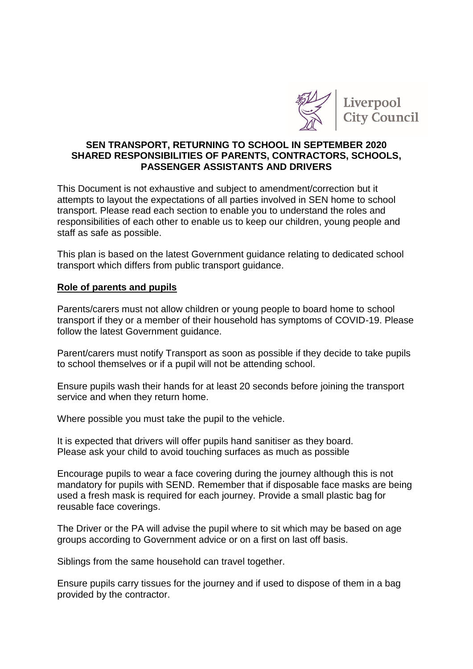

# **SEN TRANSPORT, RETURNING TO SCHOOL IN SEPTEMBER 2020 SHARED RESPONSIBILITIES OF PARENTS, CONTRACTORS, SCHOOLS, PASSENGER ASSISTANTS AND DRIVERS**

This Document is not exhaustive and subject to amendment/correction but it attempts to layout the expectations of all parties involved in SEN home to school transport. Please read each section to enable you to understand the roles and responsibilities of each other to enable us to keep our children, young people and staff as safe as possible.

This plan is based on the latest Government guidance relating to dedicated school transport which differs from public transport guidance.

#### **Role of parents and pupils**

Parents/carers must not allow children or young people to board home to school transport if they or a member of their household has symptoms of COVID-19. Please follow the latest Government guidance.

Parent/carers must notify Transport as soon as possible if they decide to take pupils to school themselves or if a pupil will not be attending school.

Ensure pupils wash their hands for at least 20 seconds before joining the transport service and when they return home.

Where possible you must take the pupil to the vehicle.

It is expected that drivers will offer pupils hand sanitiser as they board. Please ask your child to avoid touching surfaces as much as possible

Encourage pupils to wear a face covering during the journey although this is not mandatory for pupils with SEND. Remember that if disposable face masks are being used a fresh mask is required for each journey. Provide a small plastic bag for reusable face coverings.

The Driver or the PA will advise the pupil where to sit which may be based on age groups according to Government advice or on a first on last off basis.

Siblings from the same household can travel together.

Ensure pupils carry tissues for the journey and if used to dispose of them in a bag provided by the contractor.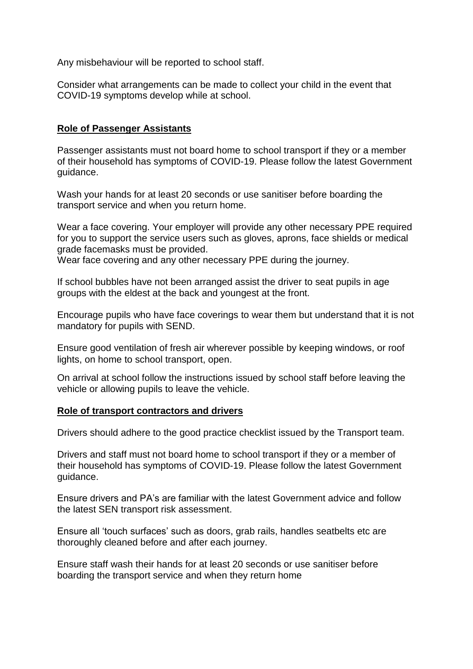Any misbehaviour will be reported to school staff.

Consider what arrangements can be made to collect your child in the event that COVID-19 symptoms develop while at school.

# **Role of Passenger Assistants**

Passenger assistants must not board home to school transport if they or a member of their household has symptoms of COVID-19. Please follow the latest Government guidance.

Wash your hands for at least 20 seconds or use sanitiser before boarding the transport service and when you return home.

Wear a face covering. Your employer will provide any other necessary PPE required for you to support the service users such as gloves, aprons, face shields or medical grade facemasks must be provided.

Wear face covering and any other necessary PPE during the journey.

If school bubbles have not been arranged assist the driver to seat pupils in age groups with the eldest at the back and youngest at the front.

Encourage pupils who have face coverings to wear them but understand that it is not mandatory for pupils with SEND.

Ensure good ventilation of fresh air wherever possible by keeping windows, or roof lights, on home to school transport, open.

On arrival at school follow the instructions issued by school staff before leaving the vehicle or allowing pupils to leave the vehicle.

## **Role of transport contractors and drivers**

Drivers should adhere to the good practice checklist issued by the Transport team.

Drivers and staff must not board home to school transport if they or a member of their household has symptoms of COVID-19. Please follow the latest Government guidance.

Ensure drivers and PA's are familiar with the latest Government advice and follow the latest SEN transport risk assessment.

Ensure all 'touch surfaces' such as doors, grab rails, handles seatbelts etc are thoroughly cleaned before and after each journey.

Ensure staff wash their hands for at least 20 seconds or use sanitiser before boarding the transport service and when they return home